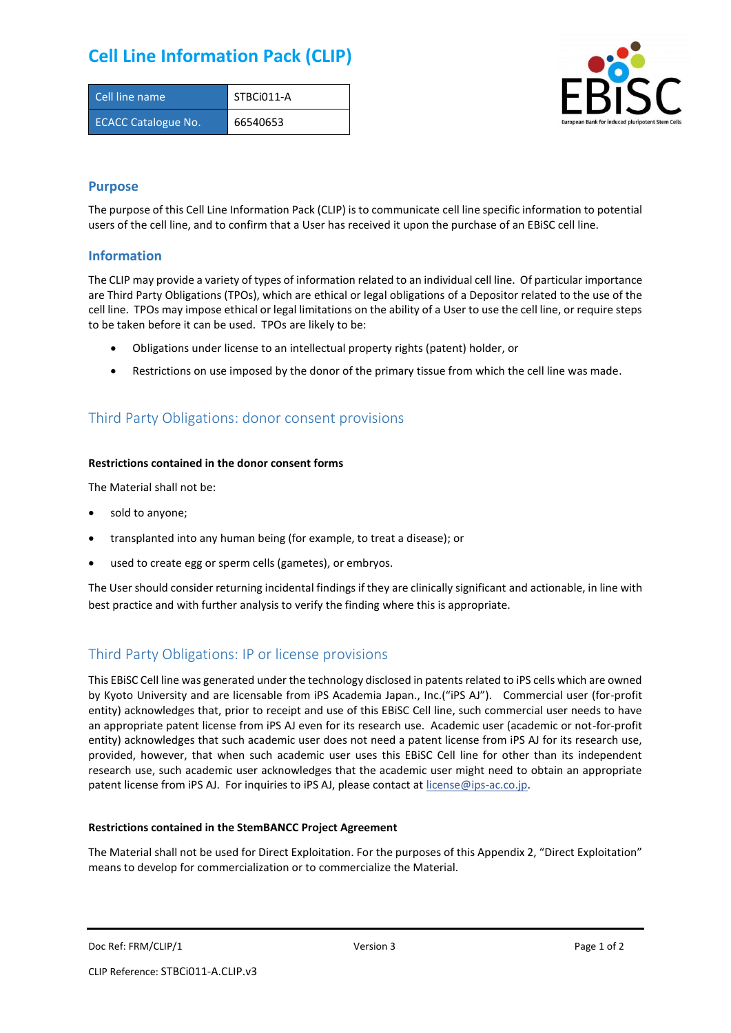# **Cell Line Information Pack (CLIP)**

| Cell line name             | STBCi011-A |
|----------------------------|------------|
| <b>ECACC Catalogue No.</b> | 66540653   |



### **Purpose**

The purpose of this Cell Line Information Pack (CLIP) is to communicate cell line specific information to potential users of the cell line, and to confirm that a User has received it upon the purchase of an EBiSC cell line.

### **Information**

The CLIP may provide a variety of types of information related to an individual cell line. Of particular importance are Third Party Obligations (TPOs), which are ethical or legal obligations of a Depositor related to the use of the cell line. TPOs may impose ethical or legal limitations on the ability of a User to use the cell line, or require steps to be taken before it can be used. TPOs are likely to be:

- Obligations under license to an intellectual property rights (patent) holder, or
- Restrictions on use imposed by the donor of the primary tissue from which the cell line was made.

## Third Party Obligations: donor consent provisions

#### **Restrictions contained in the donor consent forms**

The Material shall not be:

- sold to anyone;
- transplanted into any human being (for example, to treat a disease); or
- used to create egg or sperm cells (gametes), or embryos.

The User should consider returning incidental findings if they are clinically significant and actionable, in line with best practice and with further analysis to verify the finding where this is appropriate.

## Third Party Obligations: IP or license provisions

This EBiSC Cell line was generated under the technology disclosed in patents related to iPS cells which are owned by Kyoto University and are licensable from iPS Academia Japan., Inc.("iPS AJ"). Commercial user (for-profit entity) acknowledges that, prior to receipt and use of this EBiSC Cell line, such commercial user needs to have an appropriate patent license from iPS AJ even for its research use. Academic user (academic or not-for-profit entity) acknowledges that such academic user does not need a patent license from iPS AJ for its research use, provided, however, that when such academic user uses this EBiSC Cell line for other than its independent research use, such academic user acknowledges that the academic user might need to obtain an appropriate patent license from iPS AJ. For inquiries to iPS AJ, please contact at [license@ips-ac.co.jp.](mailto:license@ips-ac.co.jp)

#### **Restrictions contained in the StemBANCC Project Agreement**

The Material shall not be used for Direct Exploitation. For the purposes of this Appendix 2, "Direct Exploitation" means to develop for commercialization or to commercialize the Material.

Doc Ref: FRM/CLIP/1 **Doces 2** Page 1 of 2 Page 1 of 2